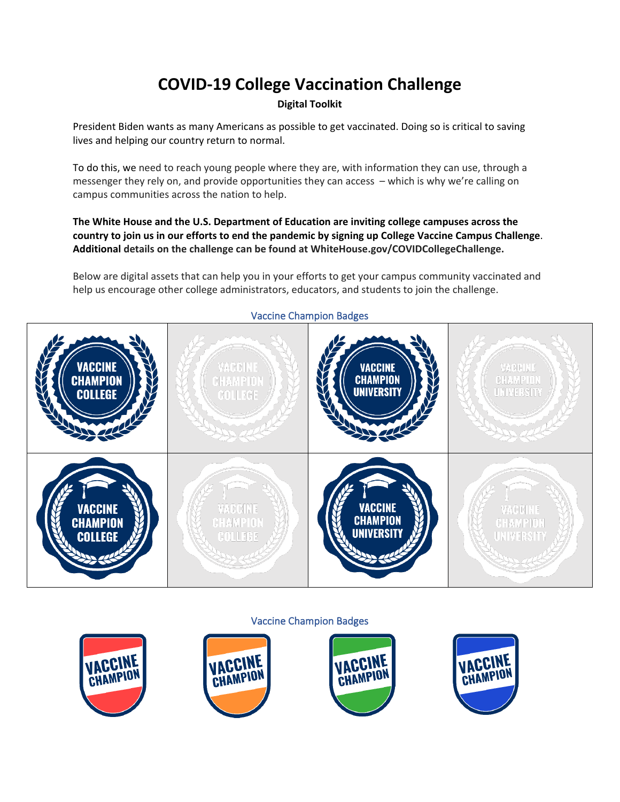# **COVID-19 College Vaccination Challenge**

# **Digital Toolkit**

President Biden wants as many Americans as possible to get vaccinated. Doing so is critical to saving lives and helping our country return to normal.

To do this, we need to reach young people where they are, with information they can use, through a messenger they rely on, and provide opportunities they can access – which is why we're calling on campus communities across the nation to help.

# **The White House and the U.S. Department of Education are inviting college campuses across the country to join us in our efforts to end the pandemic by signing up College Vaccine Campus Challenge**. **Additional details on the challenge can be found at WhiteHouse.gov/COVIDCollegeChallenge.**

Below are digital assets that can help you in your efforts to get your campus community vaccinated and help us encourage other college administrators, educators, and students to join the challenge.



## Vaccine Champion Badges

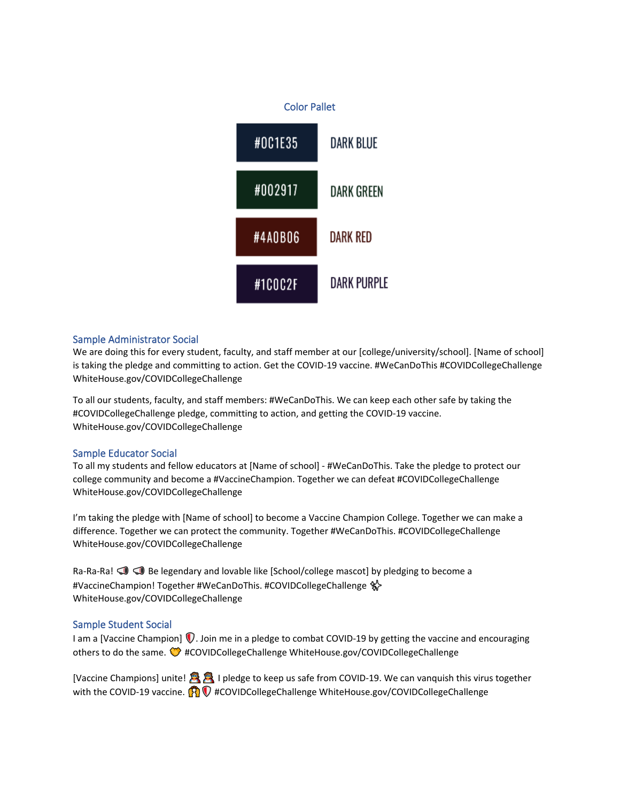

## Sample Administrator Social

We are doing this for every student, faculty, and staff member at our [college/university/school]. [Name of school] is taking the pledge and committing to action. Get the COVID-19 vaccine. #WeCanDoThis #COVIDCollegeChallenge WhiteHouse.gov/COVIDCollegeChallenge

To all our students, faculty, and staff members: #WeCanDoThis. We can keep each other safe by taking the #COVIDCollegeChallenge pledge, committing to action, and getting the COVID-19 vaccine. WhiteHouse.gov/COVIDCollegeChallenge

## Sample Educator Social

To all my students and fellow educators at [Name of school] - #WeCanDoThis. Take the pledge to protect our college community and become a #VaccineChampion. Together we can defeat #COVIDCollegeChallenge WhiteHouse.gov/COVIDCollegeChallenge

I'm taking the pledge with [Name of school] to become a Vaccine Champion College. Together we can make a difference. Together we can protect the community. Together #WeCanDoThis. #COVIDCollegeChallenge WhiteHouse.gov/COVIDCollegeChallenge

Ra-Ra-Ra!  $\leq$   $\leq$  Be legendary and lovable like [School/college mascot] by pledging to become a #VaccineChampion! Together #WeCanDoThis. #COVIDCollegeChallenge \$ WhiteHouse.gov/COVIDCollegeChallenge

## Sample Student Social

I am a [Vaccine Champion]  $\Box$ . Join me in a pledge to combat COVID-19 by getting the vaccine and encouraging others to do the same.���#COVIDCollegeChallenge WhiteHouse.gov/COVIDCollegeChallenge

[Vaccine Champions] unite!������������������ I pledge to keep us safe from COVID-19. We can vanquish this virus together with the COVID-19 vaccine.��������� #COVIDCollegeChallenge WhiteHouse.gov/COVIDCollegeChallenge